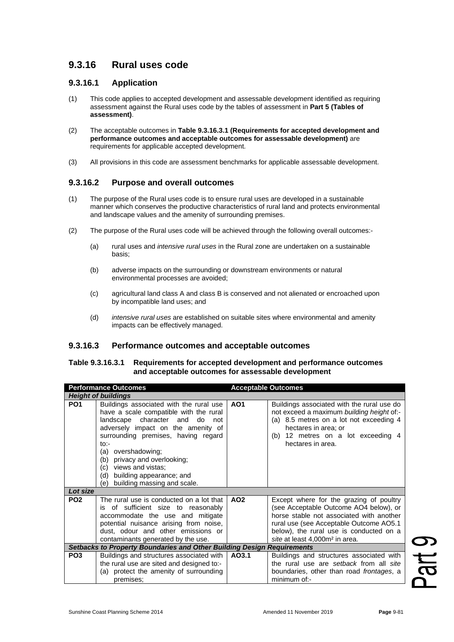# **9.3.16 Rural uses code**

## **9.3.16.1 Application**

- (1) This code applies to accepted development and assessable development identified as requiring assessment against the Rural uses code by the tables of assessment in **Part 5 (Tables of assessment)**.
- (2) The acceptable outcomes in **Table 9.3.16.3.1 (Requirements for accepted development and performance outcomes and acceptable outcomes for assessable development)** are requirements for applicable accepted development.
- (3) All provisions in this code are assessment benchmarks for applicable assessable development.

## **9.3.16.2 Purpose and overall outcomes**

- (1) The purpose of the Rural uses code is to ensure rural uses are developed in a sustainable manner which conserves the productive characteristics of rural land and protects environmental and landscape values and the amenity of surrounding premises.
- (2) The purpose of the Rural uses code will be achieved through the following overall outcomes:-
	- (a) rural uses and *intensive rural uses* in the Rural zone are undertaken on a sustainable basis;
	- (b) adverse impacts on the surrounding or downstream environments or natural environmental processes are avoided;
	- (c) agricultural land class A and class B is conserved and not alienated or encroached upon by incompatible land uses; and
	- (d) *intensive rural uses* are established on suitable sites where environmental and amenity impacts can be effectively managed.

## **9.3.16.3 Performance outcomes and acceptable outcomes**

#### **Table 9.3.16.3.1 Requirements for accepted development and performance outcomes and acceptable outcomes for assessable development**

| <b>Performance Outcomes</b> |                                                                                                                                                                                                                                                                                                                                                                              | <b>Acceptable Outcomes</b> |                                                                                                                                                                                                                                                                   |  |
|-----------------------------|------------------------------------------------------------------------------------------------------------------------------------------------------------------------------------------------------------------------------------------------------------------------------------------------------------------------------------------------------------------------------|----------------------------|-------------------------------------------------------------------------------------------------------------------------------------------------------------------------------------------------------------------------------------------------------------------|--|
| <b>Height of buildings</b>  |                                                                                                                                                                                                                                                                                                                                                                              |                            |                                                                                                                                                                                                                                                                   |  |
| PO <sub>1</sub>             | Buildings associated with the rural use<br>have a scale compatible with the rural<br>landscape character and do<br>not<br>adversely impact on the amenity of<br>surrounding premises, having regard<br>$to$ :-<br>(a) overshadowing;<br>privacy and overlooking;<br>(b)<br>views and vistas;<br>(c)<br>building appearance; and<br>(d)<br>building massing and scale.<br>(e) | AO <sub>1</sub>            | Buildings associated with the rural use do<br>not exceed a maximum building height of:-<br>(a) 8.5 metres on a lot not exceeding 4<br>hectares in area; or<br>(b) 12 metres on a lot exceeding 4<br>hectares in area.                                             |  |
| Lot size                    |                                                                                                                                                                                                                                                                                                                                                                              |                            |                                                                                                                                                                                                                                                                   |  |
| PO <sub>2</sub>             | The rural use is conducted on a lot that<br>is of sufficient size to reasonably<br>accommodate the use and mitigate<br>potential nuisance arising from noise,<br>dust, odour and other emissions or<br>contaminants generated by the use.                                                                                                                                    | AO <sub>2</sub>            | Except where for the grazing of poultry<br>(see Acceptable Outcome AO4 below), or<br>horse stable not associated with another<br>rural use (see Acceptable Outcome AO5.1<br>below), the rural use is conducted on a<br>site at least 4,000m <sup>2</sup> in area. |  |
|                             | Setbacks to Property Boundaries and Other Building Design Requirements                                                                                                                                                                                                                                                                                                       |                            |                                                                                                                                                                                                                                                                   |  |
| PO <sub>3</sub>             | Buildings and structures associated with<br>the rural use are sited and designed to:-<br>(a) protect the amenity of surrounding<br>premises;                                                                                                                                                                                                                                 | AO3.1                      | Buildings and structures associated with<br>the rural use are setback from all site<br>boundaries, other than road frontages, a<br>minimum of:-                                                                                                                   |  |

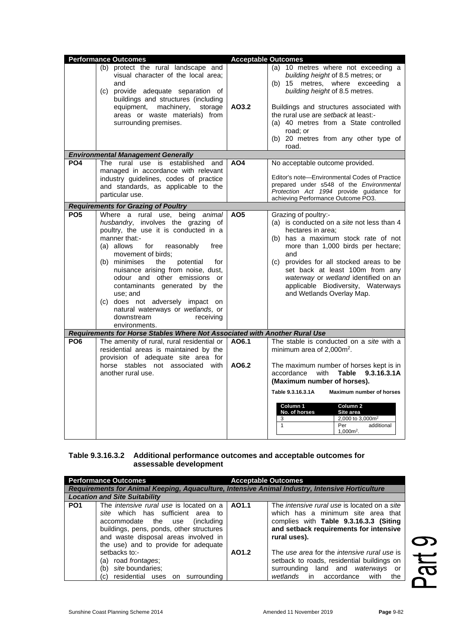|                 | <b>Performance Outcomes</b>                                                                                                                                                                                                                                                                                                                                                                                                                                                       |                 | <b>Acceptable Outcomes</b>                                                                                                                                                                                                                                                                                                                                                                                                   |
|-----------------|-----------------------------------------------------------------------------------------------------------------------------------------------------------------------------------------------------------------------------------------------------------------------------------------------------------------------------------------------------------------------------------------------------------------------------------------------------------------------------------|-----------------|------------------------------------------------------------------------------------------------------------------------------------------------------------------------------------------------------------------------------------------------------------------------------------------------------------------------------------------------------------------------------------------------------------------------------|
|                 | (b) protect the rural landscape and<br>visual character of the local area;<br>and<br>(c) provide adequate separation of<br>buildings and structures (including<br>equipment, machinery, storage<br>areas or waste materials) from<br>surrounding premises.                                                                                                                                                                                                                        | AO3.2           | (a) 10 metres where not exceeding a<br>building height of 8.5 metres; or<br>(b) 15 metres, where exceeding<br>a -<br>building height of 8.5 metres.<br>Buildings and structures associated with<br>the rural use are setback at least:-<br>(a) 40 metres from a State controlled<br>road; or<br>(b) 20 metres from any other type of<br>road.                                                                                |
|                 | <b>Environmental Management Generally</b>                                                                                                                                                                                                                                                                                                                                                                                                                                         |                 |                                                                                                                                                                                                                                                                                                                                                                                                                              |
| PO <sub>4</sub> | The rural use is established and<br>managed in accordance with relevant<br>industry guidelines, codes of practice<br>and standards, as applicable to the<br>particular use.                                                                                                                                                                                                                                                                                                       | AO <sub>4</sub> | No acceptable outcome provided.<br>Editor's note-Environmental Codes of Practice<br>prepared under s548 of the Environmental<br>Protection Act 1994 provide guidance for<br>achieving Performance Outcome PO3.                                                                                                                                                                                                               |
|                 | <b>Requirements for Grazing of Poultry</b>                                                                                                                                                                                                                                                                                                                                                                                                                                        |                 |                                                                                                                                                                                                                                                                                                                                                                                                                              |
| PO <sub>5</sub> | Where a rural use, being animal<br>husbandry, involves the grazing of<br>poultry, the use it is conducted in a<br>manner that:-<br>(a) allows<br>reasonably<br>for<br>free<br>movement of birds;<br>(b) minimises the<br>potential<br>for<br>nuisance arising from noise, dust,<br>odour and other emissions or<br>contaminants generated by the<br>use; and<br>(c) does not adversely impact on<br>natural waterways or wetlands, or<br>downstream<br>receiving<br>environments. | AO <sub>5</sub> | Grazing of poultry:-<br>(a) is conducted on a site not less than 4<br>hectares in area;<br>(b) has a maximum stock rate of not<br>more than 1,000 birds per hectare;<br>and<br>(c) provides for all stocked areas to be<br>set back at least 100m from any<br>waterway or wetland identified on an<br>applicable Biodiversity, Waterways<br>and Wetlands Overlay Map.                                                        |
|                 | Requirements for Horse Stables Where Not Associated with Another Rural Use                                                                                                                                                                                                                                                                                                                                                                                                        |                 |                                                                                                                                                                                                                                                                                                                                                                                                                              |
| PO <sub>6</sub> | The amenity of rural, rural residential or<br>residential areas is maintained by the<br>provision of adequate site area for<br>horse stables not associated with<br>another rural use.                                                                                                                                                                                                                                                                                            | A06.1<br>AO6.2  | The stable is conducted on a site with a<br>minimum area of 2,000m <sup>2</sup> .<br>The maximum number of horses kept is in<br>9.3.16.3.1A<br>accordance<br>with<br>Table<br>(Maximum number of horses).<br>Table 9.3.16.3.1A<br><b>Maximum number of horses</b><br>Column 1<br>Column <sub>2</sub><br>No. of horses<br>Site area<br>2,000 to 3,000m <sup>2</sup><br>3<br>$\mathbf{1}$<br>additional<br>Per<br>$1,000m^2$ . |

#### **Table 9.3.16.3.2 Additional performance outcomes and acceptable outcomes for assessable development**

| <b>Performance Outcomes</b><br>Requirements for Animal Keeping, Aquaculture, Intensive Animal Industry, Intensive Horticulture                                                                                                                                           |                                                                                                              | <b>Acceptable Outcomes</b> |                                                                                                                                                                                        |  |
|--------------------------------------------------------------------------------------------------------------------------------------------------------------------------------------------------------------------------------------------------------------------------|--------------------------------------------------------------------------------------------------------------|----------------------------|----------------------------------------------------------------------------------------------------------------------------------------------------------------------------------------|--|
|                                                                                                                                                                                                                                                                          | <b>Location and Site Suitability</b>                                                                         |                            |                                                                                                                                                                                        |  |
| The intensive rural use is located on a<br>PO <sub>1</sub><br>site which has sufficient area to<br>accommodate the use<br><i>(including)</i><br>buildings, pens, ponds, other structures<br>and waste disposal areas involved in<br>the use) and to provide for adequate |                                                                                                              | AO1.1                      | The intensive rural use is located on a site<br>which has a minimum site area that<br>complies with Table 9.3.16.3.3 (Siting<br>and setback requirements for intensive<br>rural uses). |  |
|                                                                                                                                                                                                                                                                          | setbacks to:-<br>(a) road frontages;<br>(b) site boundaries;<br>residential uses<br>surrounding<br>(C)<br>on | AO1.2                      | The use area for the intensive rural use is<br>setback to roads, residential buildings on<br>surrounding land and waterways<br>or<br>wetlands in accordance<br>with<br>the             |  |

Part 9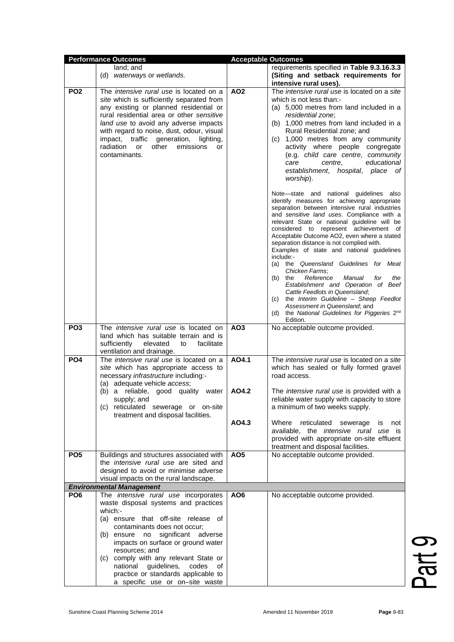| <b>Performance Outcomes</b> |                                                | <b>Acceptable Outcomes</b> |                                                                                        |  |
|-----------------------------|------------------------------------------------|----------------------------|----------------------------------------------------------------------------------------|--|
|                             | land; and                                      |                            | requirements specified in Table 9.3.16.3.3                                             |  |
|                             | (d) waterways or wetlands.                     |                            | (Siting and setback requirements for                                                   |  |
|                             |                                                |                            | intensive rural uses).                                                                 |  |
| PO <sub>2</sub>             | The <i>intensive rural use</i> is located on a | AO <sub>2</sub>            | The intensive rural use is located on a site                                           |  |
|                             |                                                |                            |                                                                                        |  |
|                             | site which is sufficiently separated from      |                            | which is not less than:-                                                               |  |
|                             | any existing or planned residential or         |                            | (a) 5,000 metres from land included in a                                               |  |
|                             | rural residential area or other sensitive      |                            | residential zone;                                                                      |  |
|                             | land use to avoid any adverse impacts          |                            | (b) 1,000 metres from land included in a                                               |  |
|                             | with regard to noise, dust, odour, visual      |                            | Rural Residential zone; and                                                            |  |
|                             | impact, traffic<br>generation,<br>lighting,    |                            | (c) 1,000 metres from any community                                                    |  |
|                             | radiation<br>or<br>other<br>emissions<br>or    |                            | activity where people congregate                                                       |  |
|                             | contaminants.                                  |                            | (e.g. child care centre, community                                                     |  |
|                             |                                                |                            | educational<br>care<br>centre,                                                         |  |
|                             |                                                |                            |                                                                                        |  |
|                             |                                                |                            | establishment, hospital, place of                                                      |  |
|                             |                                                |                            | worship).                                                                              |  |
|                             |                                                |                            |                                                                                        |  |
|                             |                                                |                            | Note—state and national guidelines also                                                |  |
|                             |                                                |                            | identify measures for achieving appropriate                                            |  |
|                             |                                                |                            | separation between intensive rural industries                                          |  |
|                             |                                                |                            | and sensitive land uses. Compliance with a                                             |  |
|                             |                                                |                            | relevant State or national guideline will be                                           |  |
|                             |                                                |                            | considered to represent achievement of                                                 |  |
|                             |                                                |                            | Acceptable Outcome AO2, even where a stated                                            |  |
|                             |                                                |                            | separation distance is not complied with.<br>Examples of state and national quidelines |  |
|                             |                                                |                            |                                                                                        |  |
|                             |                                                |                            | include:-<br>the Queensland Guidelines for Meat<br>(a)                                 |  |
|                             |                                                |                            | Chicken Farms:                                                                         |  |
|                             |                                                |                            | Reference<br>(b)<br>the<br>Manual<br>for<br>the                                        |  |
|                             |                                                |                            | Establishment and Operation of Beef                                                    |  |
|                             |                                                |                            | Cattle Feedlots in Queensland.                                                         |  |
|                             |                                                |                            | the Interim Guideline - Sheep Feedlot<br>(c)                                           |  |
|                             |                                                |                            | Assessment in Queensland; and                                                          |  |
|                             |                                                |                            | (d) the National Guidelines for Piggeries 2nd                                          |  |
|                             |                                                |                            | Edition.                                                                               |  |
| PO <sub>3</sub>             | The <i>intensive rural use</i> is located on   | AO <sub>3</sub>            | No acceptable outcome provided.                                                        |  |
|                             | land which has suitable terrain and is         |                            |                                                                                        |  |
|                             | sufficiently<br>elevated<br>facilitate<br>to   |                            |                                                                                        |  |
|                             | ventilation and drainage.                      |                            |                                                                                        |  |
| PO <sub>4</sub>             | The intensive rural use is located on a        | AO4.1                      | The intensive rural use is located on a site                                           |  |
|                             | site which has appropriate access to           |                            | which has sealed or fully formed gravel                                                |  |
|                             | necessary infrastructure including:-           |                            | road access.                                                                           |  |
|                             |                                                |                            |                                                                                        |  |
|                             | (a) adequate vehicle access;                   |                            |                                                                                        |  |
|                             | (b) a reliable, good quality water             | AO4.2                      | The intensive rural use is provided with a                                             |  |
|                             | supply; and                                    |                            | reliable water supply with capacity to store                                           |  |
|                             | (c) reticulated sewerage or on-site            |                            | a minimum of two weeks supply.                                                         |  |
|                             | treatment and disposal facilities.             |                            |                                                                                        |  |
|                             |                                                | AO4.3                      | Where<br>reticulated sewerage<br>is<br>not                                             |  |
|                             |                                                |                            | available, the <i>intensive rural use</i> is                                           |  |
|                             |                                                |                            | provided with appropriate on-site effluent                                             |  |
|                             |                                                |                            | treatment and disposal facilities.                                                     |  |
| PO <sub>5</sub>             | Buildings and structures associated with       | AO <sub>5</sub>            | No acceptable outcome provided.                                                        |  |
|                             | the <i>intensive rural use</i> are sited and   |                            |                                                                                        |  |
|                             | designed to avoid or minimise adverse          |                            |                                                                                        |  |
|                             | visual impacts on the rural landscape.         |                            |                                                                                        |  |
|                             | <b>Environmental Management</b>                |                            |                                                                                        |  |
| PO <sub>6</sub>             | The <i>intensive rural use</i> incorporates    | AO <sub>6</sub>            | No acceptable outcome provided.                                                        |  |
|                             | waste disposal systems and practices           |                            |                                                                                        |  |
|                             | which:-                                        |                            |                                                                                        |  |
|                             |                                                |                            |                                                                                        |  |
|                             | (a) ensure that off-site release of            |                            |                                                                                        |  |
|                             | contaminants does not occur;                   |                            |                                                                                        |  |
|                             | (b) ensure no significant adverse              |                            |                                                                                        |  |
|                             | impacts on surface or ground water             |                            |                                                                                        |  |
|                             | resources; and                                 |                            |                                                                                        |  |
|                             | (c) comply with any relevant State or          |                            |                                                                                        |  |
|                             | national guidelines, codes<br>of               |                            |                                                                                        |  |
|                             | practice or standards applicable to            |                            |                                                                                        |  |
|                             | a specific use or on-site waste                |                            |                                                                                        |  |

Part 9